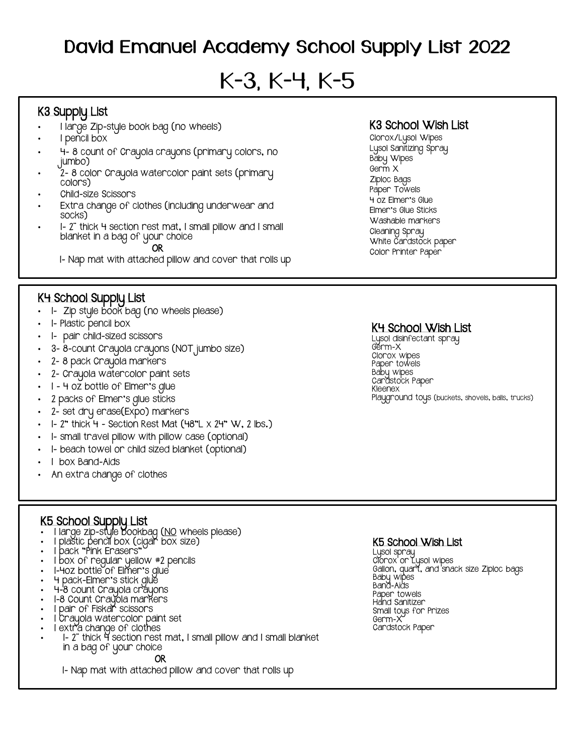# David Emanuel Academy School Supply List 2022

# K-3, K-4, K-5

## K3 Supply List

- 1 large Zip-style book bag (no wheels)
- 1 pencil box
- 4- 8 count of Crayola crayons (primary colors, no jumbo)
- 2- 8 color Crayola watercolor paint sets (primary colors)
- Child-size Scissors
- Extra change of clothes (including underwear and socks)
- 1- 2¨ thick 4 section rest mat, 1 small pillow and 1 small blanket in a bag of your choice

OR

1- Nap mat with attached pillow and cover that rolls up

#### K4 School Supply List

- 1- Zip style book bag (no wheels please)
- 1- Plastic pencil box
- 1- pair child-sized scissors
- 3- 8-count Crayola crayons (NOT jumbo size)
- 2- 8 pack Crayola markers
- 2- Crayola watercolor paint sets
- 1 4 oz bottle of Elmer's glue
- 2 packs of Elmer's glue sticks
- 2- set dry erase(Expo) markers
- $\cdot$  1 2" thick 4 Section Rest Mat (48"L  $\times$  24" W, 2 lbs.)
- 1- small travel pillow with pillow case (optional)
- 1- beach towel or child sized blanket (optional)
- I box Band-Aids
- An extra change of clothes

K3 School Wish List

Clorox/Lysol Wipes Lysol Sanitizing Spray Baby Wipes Germ X Ziploc Bags Paper Towels 4 oz Elmer's Glue Elmer's Glue Sticks Washable markers Cleaning Spray White Cardstock paper Color Printer Paper

#### K4 School Wish List

Lysol disinfectant spray Germ-X Clorox wipes Paper towels Baby wipes Cardstock Paper Kleenex Playground toys (buckets, shovels, balls, trucks)

#### K5 School Supply List

- 1 large zip-style bookbag (NO wheels please)
- 1 plastic pencil box (cigar box size)
- 1 pack "Pink Erasers"
- 1 box of regular yellow #2 pencils
- I-40Z bottle of Elmer's glue
- 4 pack-Elmer's stick glue
- 4-8 count Crayola crayons
- 1-8 Count Crayola markers
- I pair of Fiska**r** scissors
- 1 Crayola watercolor paint set
- I extra change of clothes
- 1- 2¨ thick 4 section rest mat, 1 small pillow and 1 small blanket in a bag of your choice

#### OR

1- Nap mat with attached pillow and cover that rolls up

#### K5 School Wish List

Lysol spray Clorox or Lysol wipes Gallon, quart, and snack size Ziploc bags Baby wipes Band-Aids Paper towels Hand Sanitizer Small toys for Prizes Germ-X Cardstock Paper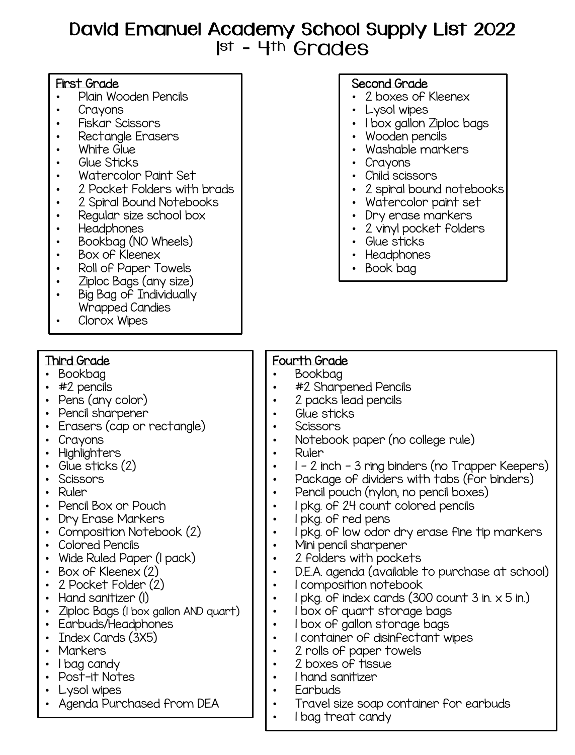# David Emanuel Academy School Supply List 2022 1 st – 4th Grades

## First Grade

- Plain Wooden Pencils
- Crayons
- Fiskar Scissors
- Rectangle Erasers
- White Glue
- Glue Sticks
- Watercolor Paint Set
- 2 Pocket Folders with brads
- 2 Spiral Bound Notebooks
- Regular size school box
- Headphones
- Bookbag (NO Wheels)
- Box of Kleenex
- Roll of Paper Towels
- Ziploc Bags (any size)
- Big Bag of Individually Wrapped Candies
- Clorox Wipes

# Third Grade

- Bookbag
- #2 pencils
- Pens (any color)
- Pencil sharpener
- Erasers (cap or rectangle)
- Crayons
- Highlighters
- Glue sticks (2)
- Scissors
- Ruler
- Pencil Box or Pouch
- Dry Erase Markers
- Composition Notebook (2)
- Colored Pencils
- Wide Ruled Paper (1 pack)
- Box of Kleenex (2)
- 2 Pocket Folder (2)
- Hand sanitizer (I)
- Ziploc Bags (1 box gallon AND quart)
- Earbuds/Headphones
- Index Cards (3X5)
- Markers
- I bag candy
- Post-it Notes
- Lysol wipes
- Agenda Purchased from DEA

# Second Grade

- 2 boxes of Kleenex
- Lysol wipes
- I box gallon Ziploc bags
- Wooden pencils
- Washable markers
- Crayons
- Child scissors
- 2 spiral bound notebooks
- Watercolor paint set
- Dry erase markers
- 2 vinyl pocket folders
- Glue sticks
- Headphones
- Book bag

# Fourth Grade

- Bookbag
- #2 Sharpened Pencils
- 2 packs lead pencils
- Glue sticks
- **Scissors** 
	- Notebook paper (no college rule)
- Ruler
- 1 2 inch 3 ring binders (no Trapper Keepers)
- Package of dividers with tabs (for binders)
- Pencil pouch (nylon, no pencil boxes)
- 1 pkg. of 24 count colored pencils
- 1 pkg. of red pens
- I pkg. of low odor dry erase fine tip markers
- Mini pencil sharpener
- 2 folders with pockets
- D.E.A. agenda (available to purchase at school)
- 1 composition notebook
- I pkg. of index cards  $(300$  count 3 in.  $\times$  5 in.)
- I box of quart storage bags
- I box of gallon storage bags
- 1 container of disinfectant wipes
- 2 rolls of paper towels
- 2 boxes of tissue
- 1 hand sanitizer
- Earbuds
- Travel size soap container for earbuds
- 1 bag treat candy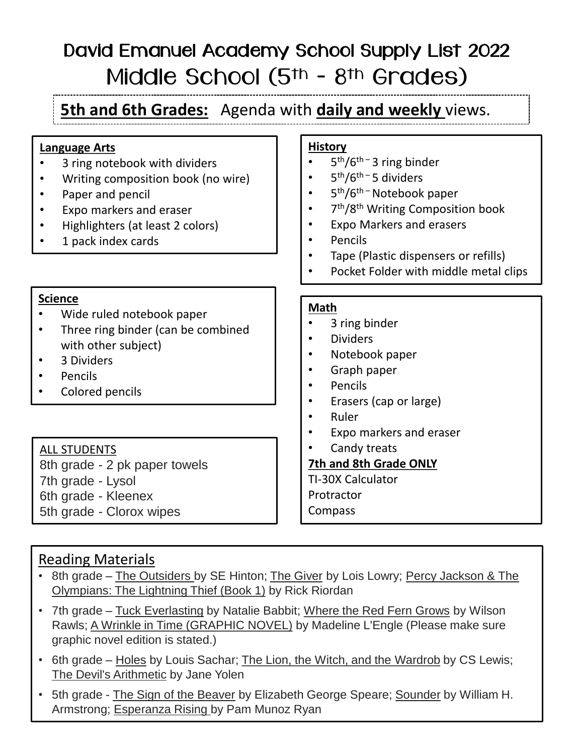# David Emanuel Academy School Supply List 2022 Middle School (5<sup>th</sup> - 8<sup>th</sup> Grades)

**5th and 6th Grades:** Agenda with **daily and weekly** views.

### **Language Arts**

- 3 ring notebook with dividers
- Writing composition book (no wire)
- Paper and pencil
- Expo markers and eraser
- Highlighters (at least 2 colors)
- 1 pack index cards

#### **Science**

- Wide ruled notebook paper
- Three ring binder (can be combined with other subject)
- 3 Dividers
- Pencils
- Colored pencils

### ALL STUDENTS

8th grade - 2 pk paper towels 7th grade - Lysol 6th grade - Kleenex 5th grade - Clorox wipes

# **History**

- 5<sup>th</sup>/6<sup>th-</sup>3 ring binder
- $5<sup>th</sup>/6<sup>th</sup> 5$  dividers
- 5<sup>th</sup>/6<sup>th –</sup> Notebook paper
- 7<sup>th</sup>/8<sup>th</sup> Writing Composition book
- Expo Markers and erasers
- Pencils
- Tape (Plastic dispensers or refills)
- Pocket Folder with middle metal clips

#### **Math**

- 3 ring binder
- Dividers
- Notebook paper
- Graph paper
- Pencils
- Erasers (cap or large)
- Ruler
- Expo markers and eraser
- Candy treats

#### **7th and 8th Grade ONLY**

TI-30X Calculator **Protractor** Compass

# Reading Materials

- 8th grade The Outsiders by SE Hinton; The Giver by Lois Lowry; Percy Jackson & The Olympians: The Lightning Thief (Book 1) by Rick Riordan
- 7th grade Tuck Everlasting by Natalie Babbit; Where the Red Fern Grows by Wilson Rawls; A Wrinkle in Time (GRAPHIC NOVEL) by Madeline L'Engle (Please make sure graphic novel edition is stated.)
- 6th grade Holes by Louis Sachar; The Lion, the Witch, and the Wardrob by CS Lewis; The Devil's Arithmetic by Jane Yolen
- 5th grade The Sign of the Beaver by Elizabeth George Speare; Sounder by William H. Armstrong; Esperanza Rising by Pam Munoz Ryan